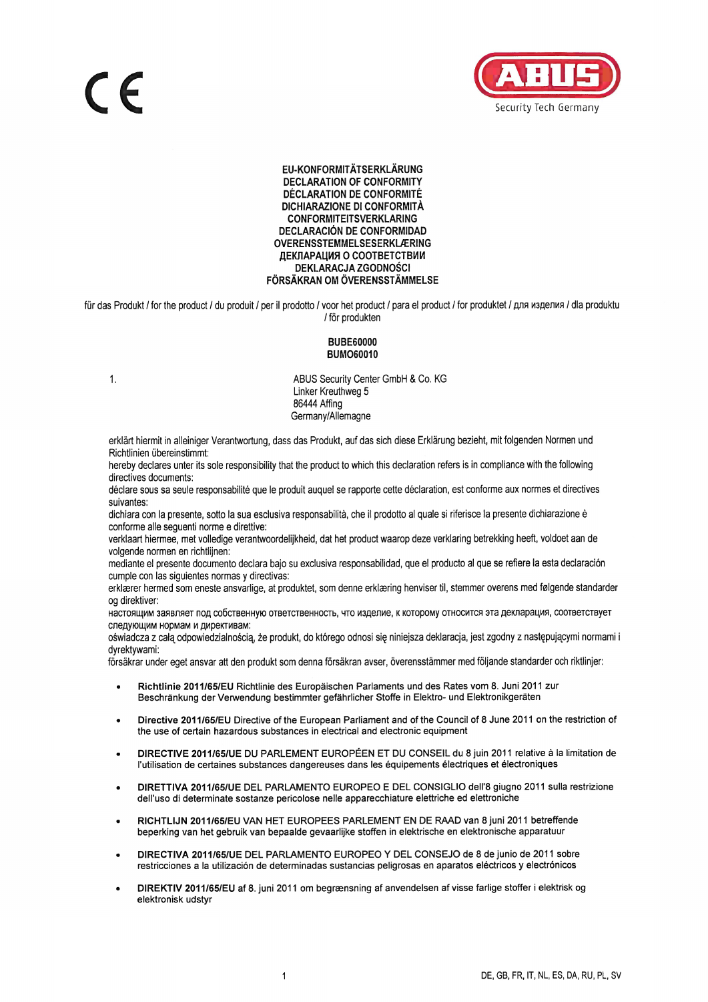

EU-KONFORMITÄTSERKLÄRUNG **DECLARATION OF CONFORMITY DÉCLARATION DE CONFORMITÉ** DICHIARAZIONE DI CONFORMITÀ **CONFORMITEITSVERKLARING DECLARACIÓN DE CONFORMIDAD** OVERENSSTEMMELSESERKLÆRING ДЕКЛАРАЦИЯ О СООТВЕТСТВИИ DEKLARACJA ZGODNOŚCI FÖRSÄKRAN OM ÖVERENSSTÄMMELSE

für das Produkt / for the product / du produit / per il prodotto / voor het product / para el product / for produktet / для изделия / dla produktu / för produkten

## **BUBE60000 BUMO60010**

 $1.$ 

ABUS Security Center GmbH & Co. KG Linker Kreuthweg 5 86444 Affing Germany/Allemagne

erklärt hiermit in alleiniger Verantwortung, dass das Produkt, auf das sich diese Erklärung bezieht, mit folgenden Normen und Richtlinien übereinstimmt:

hereby declares unter its sole responsibility that the product to which this declaration refers is in compliance with the following directives documents:

déclare sous sa seule responsabilité que le produit auquel se rapporte cette déclaration, est conforme aux normes et directives suivantes:

dichiara con la presente, sotto la sua esclusiva responsabilità, che il prodotto al quale si riferisce la presente dichiarazione è conforme alle seguenti norme e direttive:

verklaart hiermee, met volledige verantwoordelijkheid, dat het product waarop deze verklaring betrekking heeft, voldoet aan de volgende normen en richtlijnen:

mediante el presente documento declara bajo su exclusiva responsabilidad, que el producto al que se refiere la esta declaración cumple con las siquientes normas y directivas:

erklærer hermed som eneste ansvarlige, at produktet, som denne erklæring henviser til, stemmer overens med følgende standarder og direktiver:

настоящим заявляет под собственную ответственность, что изделие, к которому относится эта декларация, соответствует следующим нормам и директивам:

oświadcza z całą odpowiedzialnością, że produkt, do którego odnosi się niniejsza deklaracja, jest zgodny z następującymi normami i dvrektvwami:

försäkrar under eget ansvar att den produkt som denna försäkran avser, överensstämmer med följande standarder och riktlinjer:

- Richtlinie 2011/65/EU Richtlinie des Europäischen Parlaments und des Rates vom 8. Juni 2011 zur Beschränkung der Verwendung bestimmter gefährlicher Stoffe in Elektro- und Elektronikgeräten
- Directive 2011/65/EU Directive of the European Parliament and of the Council of 8 June 2011 on the restriction of the use of certain hazardous substances in electrical and electronic equipment
- DIRECTIVE 2011/65/UE DU PARLEMENT EUROPÉEN ET DU CONSEIL du 8 juin 2011 relative à la limitation de l'utilisation de certaines substances dangereuses dans les équipements électriques et électroniques
- DIRETTIVA 2011/65/UE DEL PARLAMENTO EUROPEO E DEL CONSIGLIO dell'8 giugno 2011 sulla restrizione dell'uso di determinate sostanze pericolose nelle apparecchiature elettriche ed elettroniche
- RICHTLIJN 2011/65/EU VAN HET EUROPEES PARLEMENT EN DE RAAD van 8 juni 2011 betreffende beperking van het gebruik van bepaalde gevaarlijke stoffen in elektrische en elektronische apparatuur
- DIRECTIVA 2011/65/UE DEL PARLAMENTO EUROPEO Y DEL CONSEJO de 8 de junio de 2011 sobre restricciones a la utilización de determinadas sustancias peligrosas en aparatos eléctricos y electrónicos
- DIREKTIV 2011/65/EU af 8. juni 2011 om begrænsning af anvendelsen af visse farlige stoffer i elektrisk og elektronisk udstyr